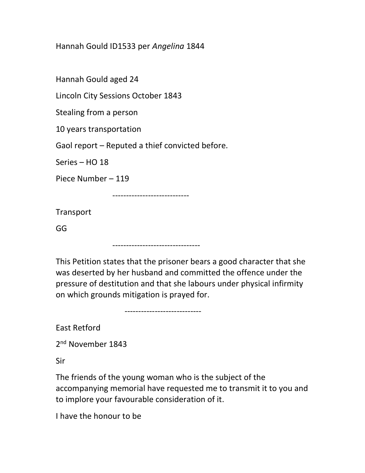Hannah Gould ID1533 per Angelina 1844

Hannah Gould aged 24

Lincoln City Sessions October 1843

Stealing from a person

10 years transportation

Gaol report – Reputed a thief convicted before.

Series – HO 18

Piece Number – 119

----------------------------

Transport

GG

--------------------------------

This Petition states that the prisoner bears a good character that she was deserted by her husband and committed the offence under the pressure of destitution and that she labours under physical infirmity on which grounds mitigation is prayed for.

----------------------------

East Retford

2<sup>nd</sup> November 1843

Sir

The friends of the young woman who is the subject of the accompanying memorial have requested me to transmit it to you and to implore your favourable consideration of it.

I have the honour to be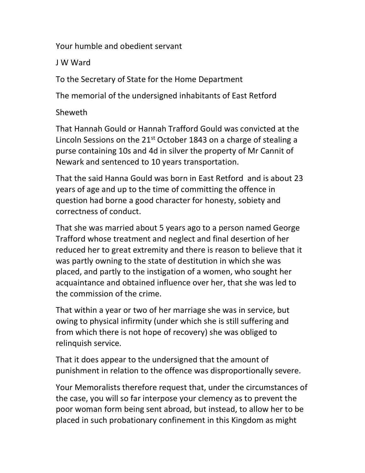Your humble and obedient servant

J W Ward

To the Secretary of State for the Home Department

The memorial of the undersigned inhabitants of East Retford

Sheweth

That Hannah Gould or Hannah Trafford Gould was convicted at the Lincoln Sessions on the  $21<sup>st</sup>$  October 1843 on a charge of stealing a purse containing 10s and 4d in silver the property of Mr Cannit of Newark and sentenced to 10 years transportation.

That the said Hanna Gould was born in East Retford and is about 23 years of age and up to the time of committing the offence in question had borne a good character for honesty, sobiety and correctness of conduct.

That she was married about 5 years ago to a person named George Trafford whose treatment and neglect and final desertion of her reduced her to great extremity and there is reason to believe that it was partly owning to the state of destitution in which she was placed, and partly to the instigation of a women, who sought her acquaintance and obtained influence over her, that she was led to the commission of the crime.

That within a year or two of her marriage she was in service, but owing to physical infirmity (under which she is still suffering and from which there is not hope of recovery) she was obliged to relinquish service.

That it does appear to the undersigned that the amount of punishment in relation to the offence was disproportionally severe.

Your Memoralists therefore request that, under the circumstances of the case, you will so far interpose your clemency as to prevent the poor woman form being sent abroad, but instead, to allow her to be placed in such probationary confinement in this Kingdom as might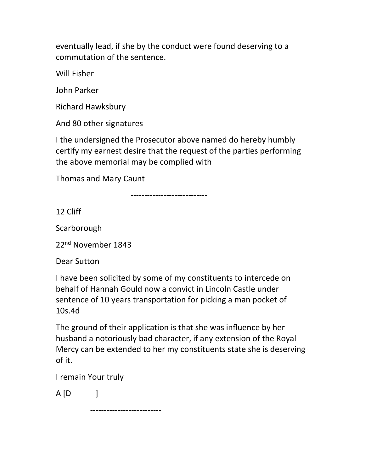eventually lead, if she by the conduct were found deserving to a commutation of the sentence.

Will Fisher

John Parker

Richard Hawksbury

And 80 other signatures

I the undersigned the Prosecutor above named do hereby humbly certify my earnest desire that the request of the parties performing the above memorial may be complied with

Thomas and Mary Caunt

----------------------------

12 Cliff

Scarborough

22<sup>nd</sup> November 1843

Dear Sutton

I have been solicited by some of my constituents to intercede on behalf of Hannah Gould now a convict in Lincoln Castle under sentence of 10 years transportation for picking a man pocket of 10s.4d

The ground of their application is that she was influence by her husband a notoriously bad character, if any extension of the Royal Mercy can be extended to her my constituents state she is deserving of it.

I remain Your truly

 $A [D]$ 

--------------------------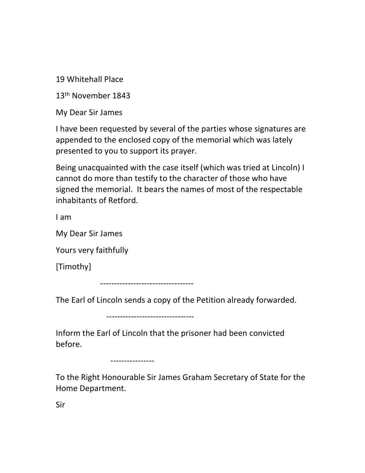19 Whitehall Place

13th November 1843

My Dear Sir James

I have been requested by several of the parties whose signatures are appended to the enclosed copy of the memorial which was lately presented to you to support its prayer.

Being unacquainted with the case itself (which was tried at Lincoln) I cannot do more than testify to the character of those who have signed the memorial. It bears the names of most of the respectable inhabitants of Retford.

I am

My Dear Sir James

Yours very faithfully

[Timothy]

----------------------------------

The Earl of Lincoln sends a copy of the Petition already forwarded.

--------------------------------

Inform the Earl of Lincoln that the prisoner had been convicted before.

----------------

To the Right Honourable Sir James Graham Secretary of State for the Home Department.

Sir